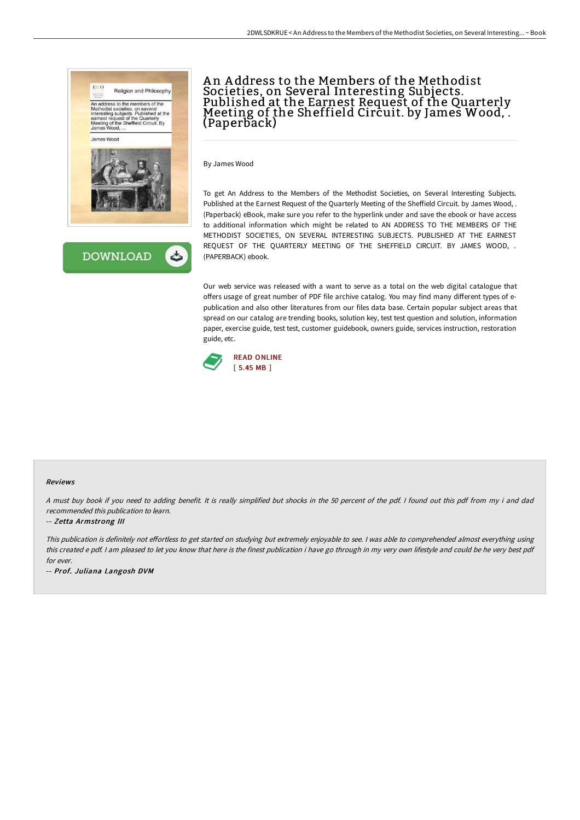



# An Address to the Members of the Methodist Societies, on Several Interesting Subjects. Published at the Earnest Request of the Quarterly<br>Meeting of the Sheffield Circuit. by James Wood, . Meeting of the Sheffield Circuit. by James Wood, .<br>(Paperback)

By James Wood

To get An Address to the Members of the Methodist Societies, on Several Interesting Subjects. Published at the Earnest Request of the Quarterly Meeting of the Sheffield Circuit. by James Wood, . (Paperback) eBook, make sure you refer to the hyperlink under and save the ebook or have access to additional information which might be related to AN ADDRESS TO THE MEMBERS OF THE METHODIST SOCIETIES, ON SEVERAL INTERESTING SUBJECTS. PUBLISHED AT THE EARNEST REQUEST OF THE QUARTERLY MEETING OF THE SHEFFIELD CIRCUIT. BY JAMES WOOD, . (PAPERBACK) ebook.

Our web service was released with a want to serve as a total on the web digital catalogue that offers usage of great number of PDF file archive catalog. You may find many different types of epublication and also other literatures from our files data base. Certain popular subject areas that spread on our catalog are trending books, solution key, test test question and solution, information paper, exercise guide, test test, customer guidebook, owners guide, services instruction, restoration guide, etc.



### Reviews

<sup>A</sup> must buy book if you need to adding benefit. It is really simplified but shocks in the <sup>50</sup> percent of the pdf. <sup>I</sup> found out this pdf from my i and dad recommended this publication to learn.

### -- Zetta Armstrong III

This publication is definitely not effortless to get started on studying but extremely enjoyable to see. I was able to comprehended almost everything using this created <sup>e</sup> pdf. <sup>I</sup> am pleased to let you know that here is the finest publication i have go through in my very own lifestyle and could be he very best pdf for ever.

-- Prof. Juliana Langosh DVM